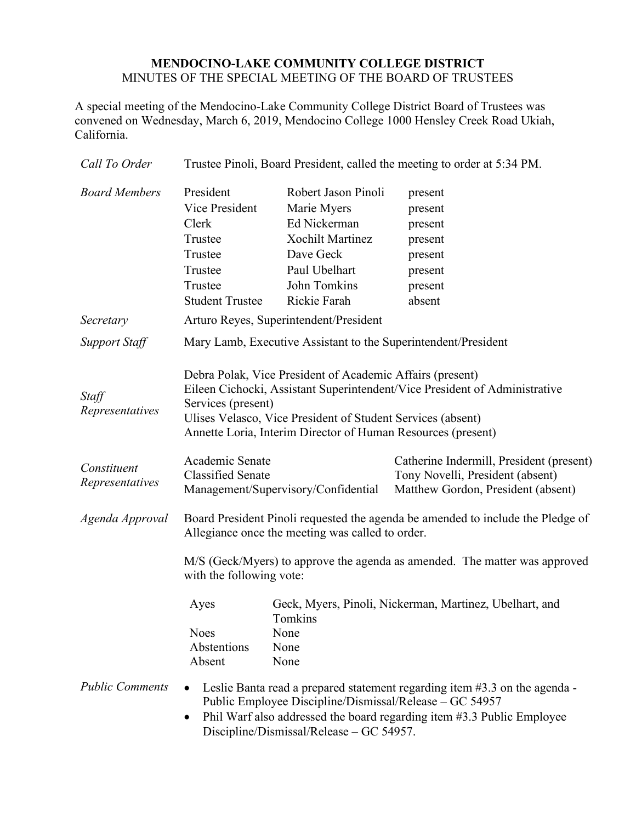## **MENDOCINO-LAKE COMMUNITY COLLEGE DISTRICT** MINUTES OF THE SPECIAL MEETING OF THE BOARD OF TRUSTEES

A special meeting of the Mendocino-Lake Community College District Board of Trustees was convened on Wednesday, March 6, 2019, Mendocino College 1000 Hensley Creek Road Ukiah, California.

| Call To Order                  | Trustee Pinoli, Board President, called the meeting to order at 5:34 PM.                                                                                                                                                                                                                     |                                                                                                                                             |                                                                                                                    |
|--------------------------------|----------------------------------------------------------------------------------------------------------------------------------------------------------------------------------------------------------------------------------------------------------------------------------------------|---------------------------------------------------------------------------------------------------------------------------------------------|--------------------------------------------------------------------------------------------------------------------|
| <b>Board Members</b>           | President<br>Vice President<br>Clerk<br>Trustee<br>Trustee<br>Trustee<br>Trustee<br><b>Student Trustee</b>                                                                                                                                                                                   | Robert Jason Pinoli<br>Marie Myers<br>Ed Nickerman<br><b>Xochilt Martinez</b><br>Dave Geck<br>Paul Ubelhart<br>John Tomkins<br>Rickie Farah | present<br>present<br>present<br>present<br>present<br>present<br>present<br>absent                                |
| Secretary                      | Arturo Reyes, Superintendent/President                                                                                                                                                                                                                                                       |                                                                                                                                             |                                                                                                                    |
| <b>Support Staff</b>           | Mary Lamb, Executive Assistant to the Superintendent/President                                                                                                                                                                                                                               |                                                                                                                                             |                                                                                                                    |
| Staff<br>Representatives       | Debra Polak, Vice President of Academic Affairs (present)<br>Eileen Cichocki, Assistant Superintendent/Vice President of Administrative<br>Services (present)<br>Ulises Velasco, Vice President of Student Services (absent)<br>Annette Loria, Interim Director of Human Resources (present) |                                                                                                                                             |                                                                                                                    |
| Constituent<br>Representatives | Academic Senate<br><b>Classified Senate</b>                                                                                                                                                                                                                                                  | Management/Supervisory/Confidential                                                                                                         | Catherine Indermill, President (present)<br>Tony Novelli, President (absent)<br>Matthew Gordon, President (absent) |
| Agenda Approval                | Board President Pinoli requested the agenda be amended to include the Pledge of<br>Allegiance once the meeting was called to order.                                                                                                                                                          |                                                                                                                                             |                                                                                                                    |
|                                | M/S (Geck/Myers) to approve the agenda as amended. The matter was approved<br>with the following vote:                                                                                                                                                                                       |                                                                                                                                             |                                                                                                                    |
|                                | Ayes<br><b>Noes</b><br>Abstentions<br>Absent                                                                                                                                                                                                                                                 | Tomkins<br>None<br>None<br>None                                                                                                             | Geck, Myers, Pinoli, Nickerman, Martinez, Ubelhart, and                                                            |
| <b>Public Comments</b>         | Leslie Banta read a prepared statement regarding item #3.3 on the agenda -<br>Public Employee Discipline/Dismissal/Release – GC 54957<br>Phil Warf also addressed the board regarding item #3.3 Public Employee<br>Discipline/Dismissal/Release - GC 54957.                                  |                                                                                                                                             |                                                                                                                    |